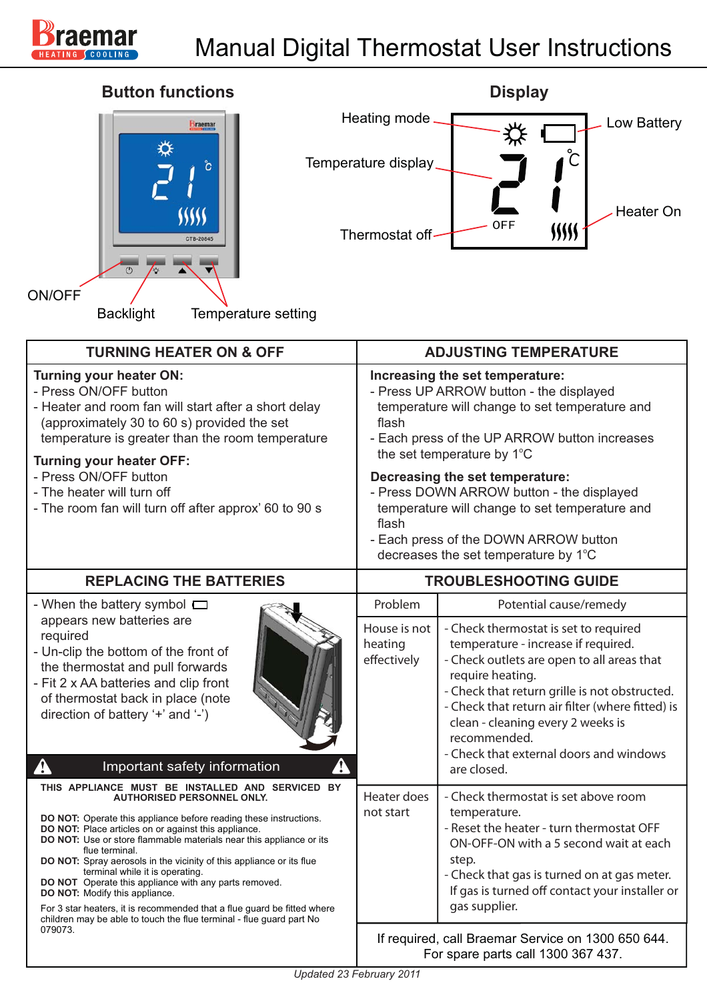





Temperature setting

| <b>TURNING HEATER ON &amp; OFF</b>                                                                                                                                                                                                                                                                                                                                                                                                                                                                                                                                                                                                                                                                      | <b>ADJUSTING TEMPERATURE</b>                                                                                                                                                                                                                                                                                                                                                                                                                     |                                                                                                                                                                                                                                                                                                                                                                    |
|---------------------------------------------------------------------------------------------------------------------------------------------------------------------------------------------------------------------------------------------------------------------------------------------------------------------------------------------------------------------------------------------------------------------------------------------------------------------------------------------------------------------------------------------------------------------------------------------------------------------------------------------------------------------------------------------------------|--------------------------------------------------------------------------------------------------------------------------------------------------------------------------------------------------------------------------------------------------------------------------------------------------------------------------------------------------------------------------------------------------------------------------------------------------|--------------------------------------------------------------------------------------------------------------------------------------------------------------------------------------------------------------------------------------------------------------------------------------------------------------------------------------------------------------------|
| <b>Turning your heater ON:</b><br>- Press ON/OFF button<br>- Heater and room fan will start after a short delay<br>(approximately 30 to 60 s) provided the set<br>temperature is greater than the room temperature<br><b>Turning your heater OFF:</b><br>- Press ON/OFF button<br>- The heater will turn off<br>- The room fan will turn off after approx' 60 to 90 s                                                                                                                                                                                                                                                                                                                                   | Increasing the set temperature:<br>- Press UP ARROW button - the displayed<br>temperature will change to set temperature and<br>flash<br>- Each press of the UP ARROW button increases<br>the set temperature by 1°C<br>Decreasing the set temperature:<br>- Press DOWN ARROW button - the displayed<br>temperature will change to set temperature and<br>flash<br>- Each press of the DOWN ARROW button<br>decreases the set temperature by 1°C |                                                                                                                                                                                                                                                                                                                                                                    |
| <b>REPLACING THE BATTERIES</b>                                                                                                                                                                                                                                                                                                                                                                                                                                                                                                                                                                                                                                                                          | <b>TROUBLESHOOTING GUIDE</b>                                                                                                                                                                                                                                                                                                                                                                                                                     |                                                                                                                                                                                                                                                                                                                                                                    |
| - When the battery symbol $\Box$<br>appears new batteries are<br>required<br>- Un-clip the bottom of the front of<br>the thermostat and pull forwards<br>- Fit 2 x AA batteries and clip front<br>of thermostat back in place (note<br>direction of battery '+' and '-')<br>Important safety information<br>Ą                                                                                                                                                                                                                                                                                                                                                                                           | Problem                                                                                                                                                                                                                                                                                                                                                                                                                                          | Potential cause/remedy                                                                                                                                                                                                                                                                                                                                             |
|                                                                                                                                                                                                                                                                                                                                                                                                                                                                                                                                                                                                                                                                                                         | House is not<br>heating<br>effectively                                                                                                                                                                                                                                                                                                                                                                                                           | - Check thermostat is set to required<br>temperature - increase if required.<br>- Check outlets are open to all areas that<br>require heating.<br>- Check that return grille is not obstructed.<br>- Check that return air filter (where fitted) is<br>clean - cleaning every 2 weeks is<br>recommended.<br>- Check that external doors and windows<br>are closed. |
| THIS APPLIANCE MUST BE INSTALLED AND SERVICED BY<br><b>AUTHORISED PERSONNEL ONLY.</b><br><b>DO NOT:</b> Operate this appliance before reading these instructions.<br><b>DO NOT:</b> Place articles on or against this appliance.<br><b>DO NOT:</b> Use or store flammable materials near this appliance or its<br>flue terminal.<br><b>DO NOT:</b> Spray aerosols in the vicinity of this appliance or its flue<br>terminal while it is operating.<br><b>DO NOT</b> Operate this appliance with any parts removed.<br>DO NOT: Modify this appliance.<br>For 3 star heaters, it is recommended that a flue guard be fitted where<br>children may be able to touch the flue terminal - flue guard part No | Heater does<br>not start                                                                                                                                                                                                                                                                                                                                                                                                                         | - Check thermostat is set above room<br>temperature.<br>- Reset the heater - turn thermostat OFF<br>ON-OFF-ON with a 5 second wait at each<br>step.<br>- Check that gas is turned on at gas meter.<br>If gas is turned off contact your installer or<br>gas supplier.                                                                                              |
| 079073.                                                                                                                                                                                                                                                                                                                                                                                                                                                                                                                                                                                                                                                                                                 | If required, call Braemar Service on 1300 650 644.<br>For spare parts call 1300 367 437.                                                                                                                                                                                                                                                                                                                                                         |                                                                                                                                                                                                                                                                                                                                                                    |